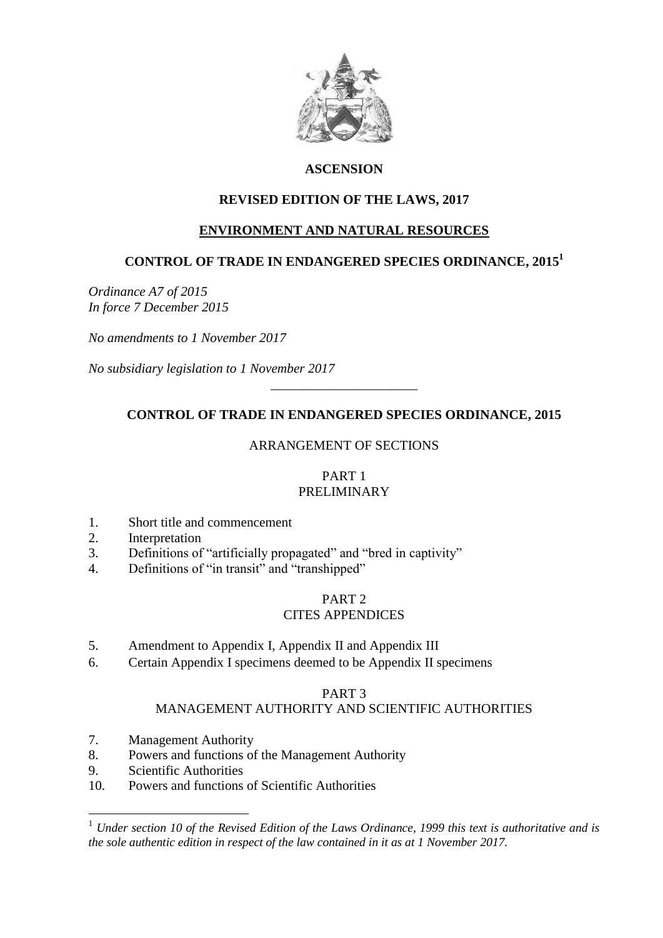

# **ASCENSION**

# **REVISED EDITION OF THE LAWS, 2017**

## **ENVIRONMENT AND NATURAL RESOURCES**

# **CONTROL OF TRADE IN ENDANGERED SPECIES ORDINANCE, 2015<sup>1</sup>**

*Ordinance A7 of 2015 In force 7 December 2015*

*No amendments to 1 November 2017*

*No subsidiary legislation to 1 November 2017*

# **CONTROL OF TRADE IN ENDANGERED SPECIES ORDINANCE, 2015**

\_\_\_\_\_\_\_\_\_\_\_\_\_\_\_\_\_\_\_\_\_\_

## ARRANGEMENT OF SECTIONS

#### PART 1 PRELIMINARY

- 1. Short title and commencement
- 2. Interpretation
- 3. Definitions of "artificially propagated" and "bred in captivity"
- 4. Definitions of "in transit" and "transhipped"

### PART 2 CITES APPENDICES

- 5. Amendment to Appendix I, Appendix II and Appendix III
- 6. Certain Appendix I specimens deemed to be Appendix II specimens

### PART 3

## MANAGEMENT AUTHORITY AND SCIENTIFIC AUTHORITIES

- 7. Management Authority
- 8. Powers and functions of the Management Authority
- 9. Scientific Authorities

1

10. Powers and functions of Scientific Authorities

<sup>1</sup> *Under section 10 of the Revised Edition of the Laws Ordinance, 1999 this text is authoritative and is the sole authentic edition in respect of the law contained in it as at 1 November 2017.*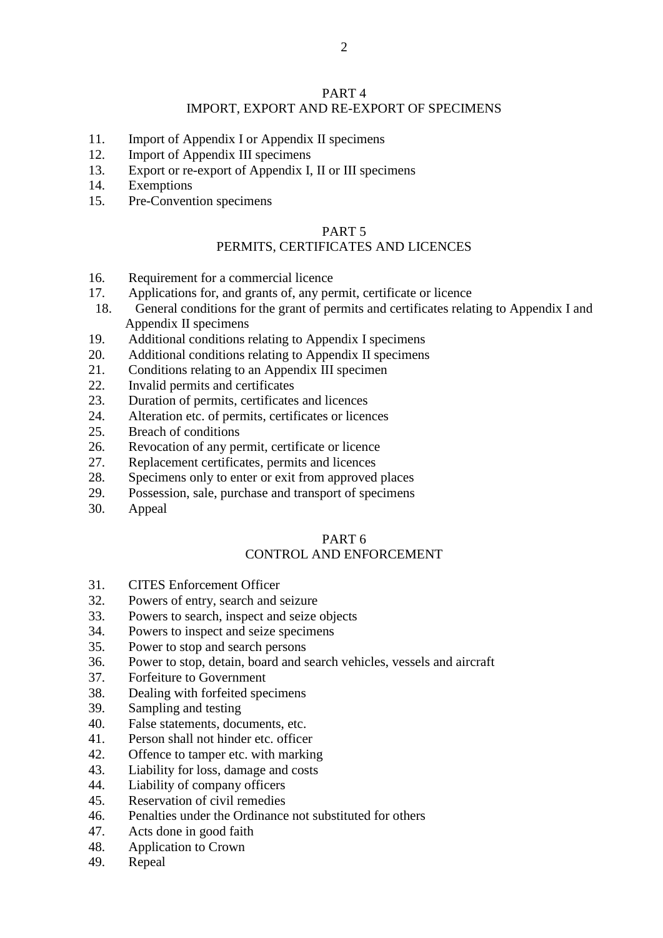### PART 4 IMPORT, EXPORT AND RE-EXPORT OF SPECIMENS

- 11. Import of Appendix I or Appendix II specimens
- 12. Import of Appendix III specimens
- 13. Export or re-export of Appendix I, II or III specimens
- 14. Exemptions
- 15. Pre-Convention specimens

#### PART 5

# PERMITS, CERTIFICATES AND LICENCES

- 16. Requirement for a commercial licence
- 17. Applications for, and grants of, any permit, certificate or licence
- 18. General conditions for the grant of permits and certificates relating to Appendix I and Appendix II specimens
- 19. Additional conditions relating to Appendix I specimens
- 20. Additional conditions relating to Appendix II specimens
- 21. Conditions relating to an Appendix III specimen
- 22. Invalid permits and certificates
- 23. Duration of permits, certificates and licences
- 24. Alteration etc. of permits, certificates or licences
- 25. Breach of conditions
- 26. Revocation of any permit, certificate or licence
- 27. Replacement certificates, permits and licences
- 28. Specimens only to enter or exit from approved places
- 29. Possession, sale, purchase and transport of specimens
- 30. Appeal

### PART 6

# CONTROL AND ENFORCEMENT

- 31. CITES Enforcement Officer
- 32. Powers of entry, search and seizure
- 33. Powers to search, inspect and seize objects
- 34. Powers to inspect and seize specimens
- 35. Power to stop and search persons
- 36. Power to stop, detain, board and search vehicles, vessels and aircraft
- 37. Forfeiture to Government
- 38. Dealing with forfeited specimens
- 39. Sampling and testing
- 40. False statements, documents, etc.
- 41. Person shall not hinder etc. officer
- 42. Offence to tamper etc. with marking
- 43. Liability for loss, damage and costs
- 44. Liability of company officers
- 45. Reservation of civil remedies
- 46. Penalties under the Ordinance not substituted for others
- 47. Acts done in good faith
- 48. Application to Crown
- 49. Repeal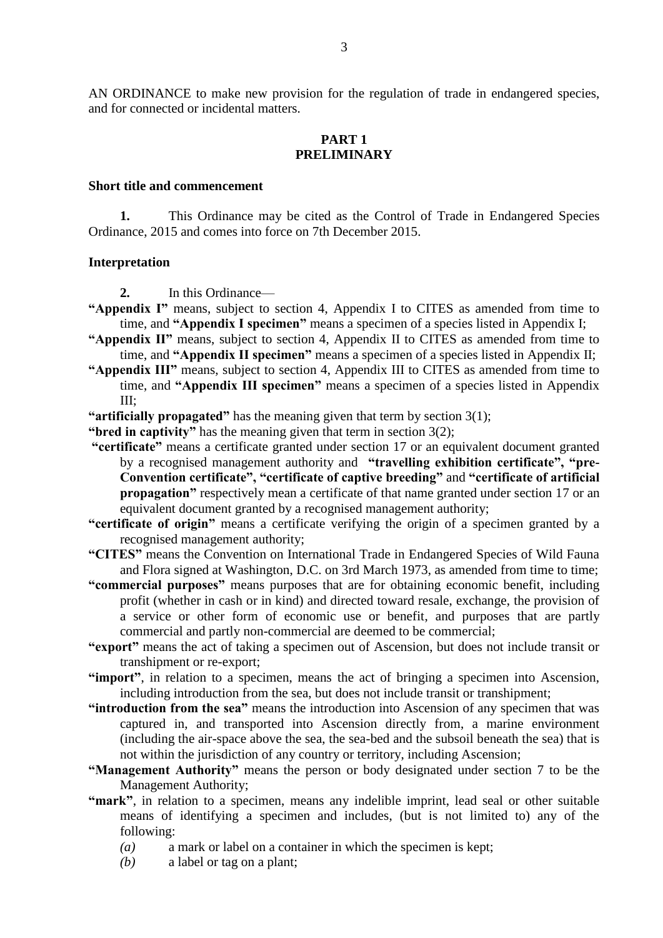AN ORDINANCE to make new provision for the regulation of trade in endangered species, and for connected or incidental matters.

### **PART 1 PRELIMINARY**

#### **Short title and commencement**

**1.** This Ordinance may be cited as the Control of Trade in Endangered Species Ordinance, 2015 and comes into force on 7th December 2015.

#### **Interpretation**

**2.** In this Ordinance—

- **"Appendix I"** means, subject to section 4, Appendix I to CITES as amended from time to time, and **"Appendix I specimen"** means a specimen of a species listed in Appendix I;
- **"Appendix II"** means, subject to section 4, Appendix II to CITES as amended from time to time, and **"Appendix II specimen"** means a specimen of a species listed in Appendix II;
- **"Appendix III"** means, subject to section 4, Appendix III to CITES as amended from time to time, and **"Appendix III specimen"** means a specimen of a species listed in Appendix  $III:$
- **"artificially propagated"** has the meaning given that term by section 3(1);
- **"bred in captivity"** has the meaning given that term in section 3(2);
- **"certificate"** means a certificate granted under section 17 or an equivalent document granted by a recognised management authority and **"travelling exhibition certificate", "pre-Convention certificate", "certificate of captive breeding"** and **"certificate of artificial propagation"** respectively mean a certificate of that name granted under section 17 or an equivalent document granted by a recognised management authority;
- **"certificate of origin"** means a certificate verifying the origin of a specimen granted by a recognised management authority;
- **"CITES"** means the Convention on International Trade in Endangered Species of Wild Fauna and Flora signed at Washington, D.C. on 3rd March 1973, as amended from time to time;
- **"commercial purposes"** means purposes that are for obtaining economic benefit, including profit (whether in cash or in kind) and directed toward resale, exchange, the provision of a service or other form of economic use or benefit, and purposes that are partly commercial and partly non-commercial are deemed to be commercial;
- **"export"** means the act of taking a specimen out of Ascension, but does not include transit or transhipment or re-export;
- **"import"**, in relation to a specimen, means the act of bringing a specimen into Ascension, including introduction from the sea, but does not include transit or transhipment;
- **"introduction from the sea"** means the introduction into Ascension of any specimen that was captured in, and transported into Ascension directly from, a marine environment (including the air-space above the sea, the sea-bed and the subsoil beneath the sea) that is not within the jurisdiction of any country or territory, including Ascension;
- **"Management Authority"** means the person or body designated under section 7 to be the Management Authority;
- **"mark"**, in relation to a specimen, means any indelible imprint, lead seal or other suitable means of identifying a specimen and includes, (but is not limited to) any of the following:
	- *(a)* a mark or label on a container in which the specimen is kept;
	- *(b)* a label or tag on a plant;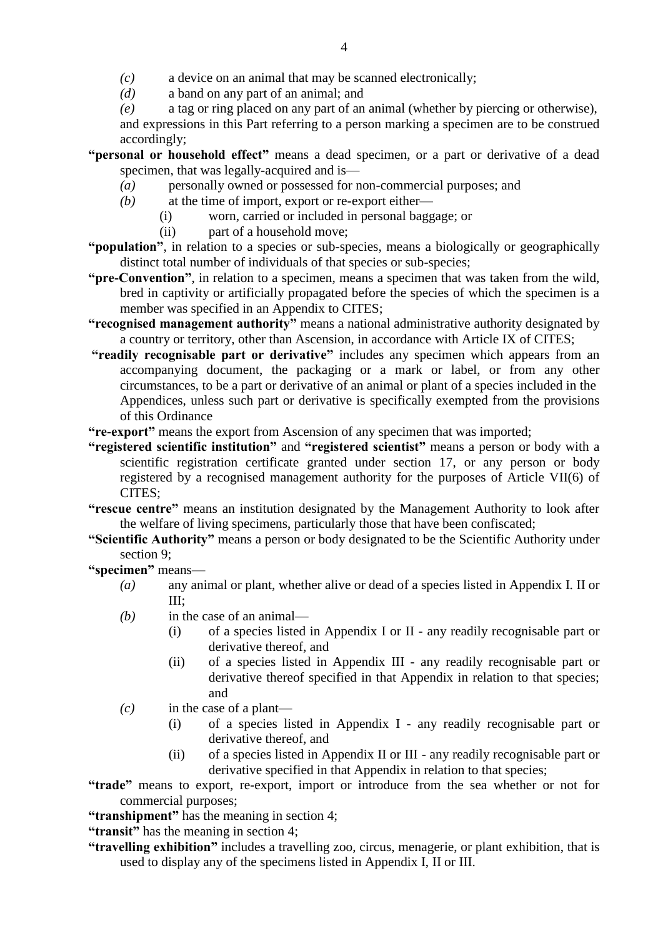*(c)* a device on an animal that may be scanned electronically;

- *(d)* a band on any part of an animal; and
- *(e)* a tag or ring placed on any part of an animal (whether by piercing or otherwise),

and expressions in this Part referring to a person marking a specimen are to be construed accordingly;

- **"personal or household effect"** means a dead specimen, or a part or derivative of a dead specimen, that was legally-acquired and is—
	- *(a)* personally owned or possessed for non-commercial purposes; and
	- *(b)* at the time of import, export or re-export either—
		- (i) worn, carried or included in personal baggage; or
		- (ii) part of a household move;
- **"population"**, in relation to a species or sub-species, means a biologically or geographically distinct total number of individuals of that species or sub-species;
- **"pre-Convention"**, in relation to a specimen, means a specimen that was taken from the wild, bred in captivity or artificially propagated before the species of which the specimen is a member was specified in an Appendix to CITES;
- **"recognised management authority"** means a national administrative authority designated by a country or territory, other than Ascension, in accordance with Article IX of CITES;
- **"readily recognisable part or derivative"** includes any specimen which appears from an accompanying document, the packaging or a mark or label, or from any other circumstances, to be a part or derivative of an animal or plant of a species included in the Appendices, unless such part or derivative is specifically exempted from the provisions of this Ordinance
- **"re-export"** means the export from Ascension of any specimen that was imported;
- **"registered scientific institution"** and **"registered scientist"** means a person or body with a scientific registration certificate granted under section 17, or any person or body registered by a recognised management authority for the purposes of Article VII(6) of CITES;
- **"rescue centre"** means an institution designated by the Management Authority to look after the welfare of living specimens, particularly those that have been confiscated;
- **"Scientific Authority"** means a person or body designated to be the Scientific Authority under section 9;

**"specimen"** means—

- *(a)* any animal or plant, whether alive or dead of a species listed in Appendix I. II or III;
- *(b)* in the case of an animal—
	- (i) of a species listed in Appendix I or II any readily recognisable part or derivative thereof, and
	- (ii) of a species listed in Appendix III any readily recognisable part or derivative thereof specified in that Appendix in relation to that species; and
- *(c)* in the case of a plant—
	- (i) of a species listed in Appendix I any readily recognisable part or derivative thereof, and
	- (ii) of a species listed in Appendix II or III any readily recognisable part or derivative specified in that Appendix in relation to that species;

**"trade"** means to export, re-export, import or introduce from the sea whether or not for commercial purposes;

**"transhipment"** has the meaning in section 4;

**"transit"** has the meaning in section 4;

**"travelling exhibition"** includes a travelling zoo, circus, menagerie, or plant exhibition, that is used to display any of the specimens listed in Appendix I, II or III.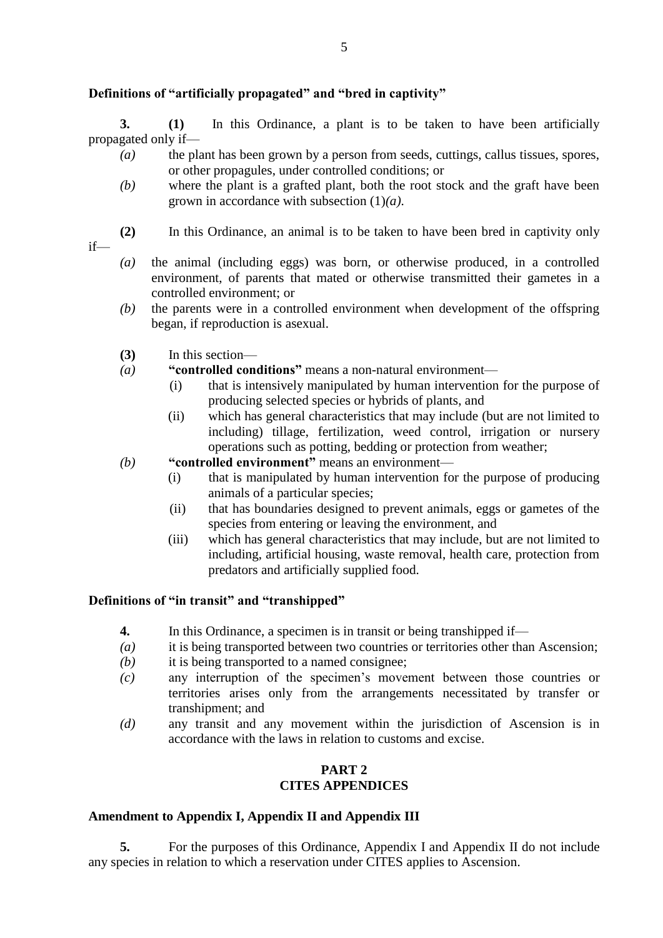# **Definitions of "artificially propagated" and "bred in captivity"**

**3. (1)** In this Ordinance, a plant is to be taken to have been artificially propagated only if—

- *(a)* the plant has been grown by a person from seeds, cuttings, callus tissues, spores, or other propagules, under controlled conditions; or
- *(b)* where the plant is a grafted plant, both the root stock and the graft have been grown in accordance with subsection (1)*(a)*.
- if—
- **(2)** In this Ordinance, an animal is to be taken to have been bred in captivity only
- *(a)* the animal (including eggs) was born, or otherwise produced, in a controlled environment, of parents that mated or otherwise transmitted their gametes in a controlled environment; or
- *(b)* the parents were in a controlled environment when development of the offspring began, if reproduction is asexual.
- **(3)** In this section—
- *(a)* **"controlled conditions"** means a non-natural environment—
	- (i) that is intensively manipulated by human intervention for the purpose of producing selected species or hybrids of plants, and
	- (ii) which has general characteristics that may include (but are not limited to including) tillage, fertilization, weed control, irrigation or nursery operations such as potting, bedding or protection from weather;
- *(b)* **"controlled environment"** means an environment—
	- (i) that is manipulated by human intervention for the purpose of producing animals of a particular species;
	- (ii) that has boundaries designed to prevent animals, eggs or gametes of the species from entering or leaving the environment, and
	- (iii) which has general characteristics that may include, but are not limited to including, artificial housing, waste removal, health care, protection from predators and artificially supplied food.

### **Definitions of "in transit" and "transhipped"**

- **4.** In this Ordinance, a specimen is in transit or being transhipped if—
- *(a)* it is being transported between two countries or territories other than Ascension;
- *(b)* it is being transported to a named consignee;
- *(c)* any interruption of the specimen's movement between those countries or territories arises only from the arrangements necessitated by transfer or transhipment; and
- *(d)* any transit and any movement within the jurisdiction of Ascension is in accordance with the laws in relation to customs and excise.

### **PART 2 CITES APPENDICES**

## **Amendment to Appendix I, Appendix II and Appendix III**

**5.** For the purposes of this Ordinance, Appendix I and Appendix II do not include any species in relation to which a reservation under CITES applies to Ascension.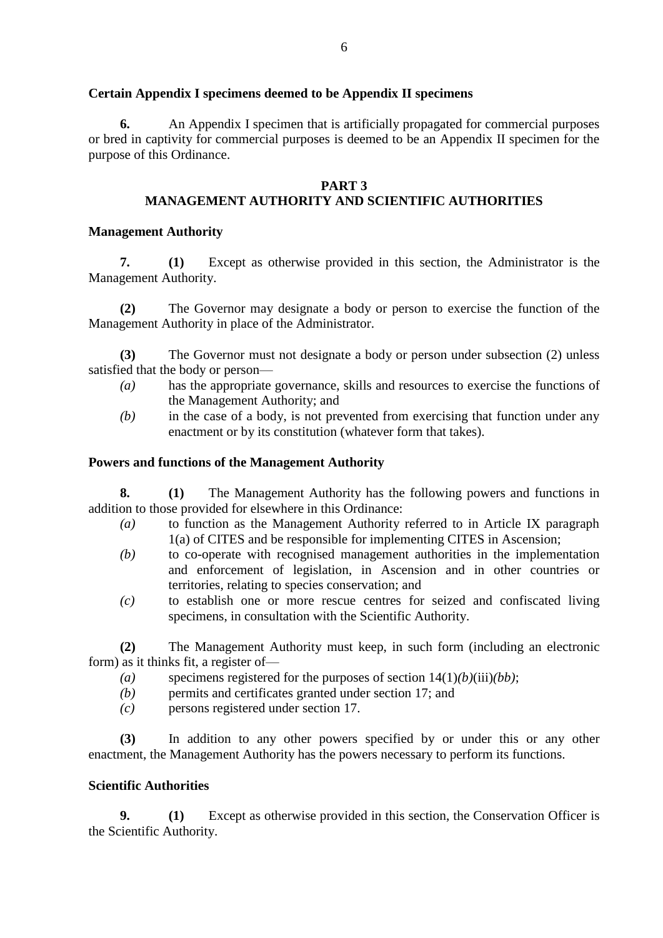## **Certain Appendix I specimens deemed to be Appendix II specimens**

**6.** An Appendix I specimen that is artificially propagated for commercial purposes or bred in captivity for commercial purposes is deemed to be an Appendix II specimen for the purpose of this Ordinance.

### **PART 3**

# **MANAGEMENT AUTHORITY AND SCIENTIFIC AUTHORITIES**

### **Management Authority**

**7. (1)** Except as otherwise provided in this section, the Administrator is the Management Authority.

**(2)** The Governor may designate a body or person to exercise the function of the Management Authority in place of the Administrator.

**(3)** The Governor must not designate a body or person under subsection (2) unless satisfied that the body or person—

- *(a)* has the appropriate governance, skills and resources to exercise the functions of the Management Authority; and
- *(b)* in the case of a body, is not prevented from exercising that function under any enactment or by its constitution (whatever form that takes).

### **Powers and functions of the Management Authority**

**8. (1)** The Management Authority has the following powers and functions in addition to those provided for elsewhere in this Ordinance:

- *(a)* to function as the Management Authority referred to in Article IX paragraph 1(a) of CITES and be responsible for implementing CITES in Ascension;
- *(b)* to co-operate with recognised management authorities in the implementation and enforcement of legislation, in Ascension and in other countries or territories, relating to species conservation; and
- *(c)* to establish one or more rescue centres for seized and confiscated living specimens, in consultation with the Scientific Authority.

**(2)** The Management Authority must keep, in such form (including an electronic form) as it thinks fit, a register of—

- *(a)* specimens registered for the purposes of section 14(1)*(b)*(iii)*(bb)*;
- *(b)* permits and certificates granted under section 17; and
- *(c)* persons registered under section 17.

**(3)** In addition to any other powers specified by or under this or any other enactment, the Management Authority has the powers necessary to perform its functions.

### **Scientific Authorities**

**9. (1)** Except as otherwise provided in this section, the Conservation Officer is the Scientific Authority.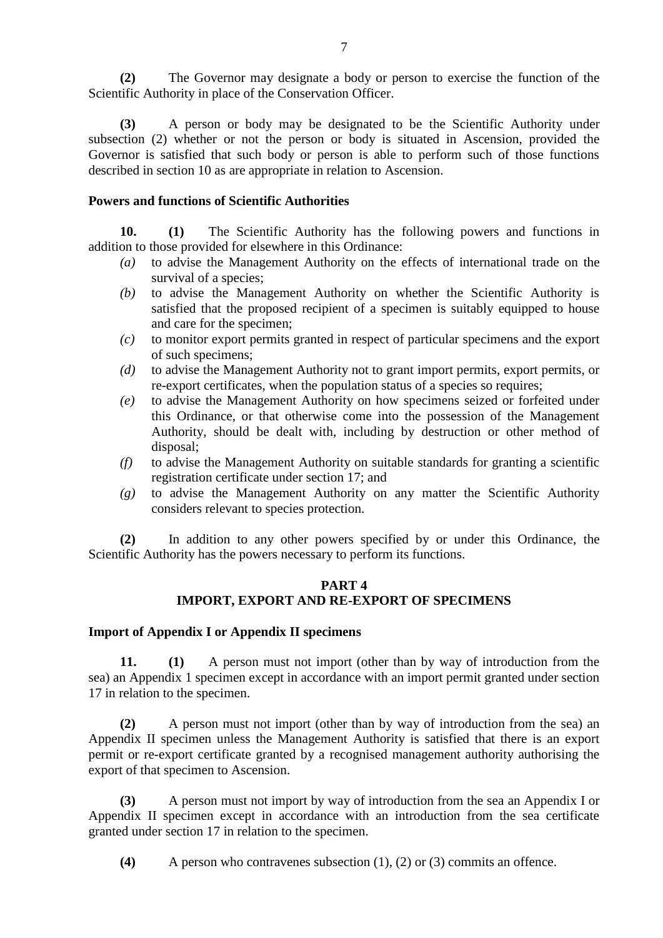**(2)** The Governor may designate a body or person to exercise the function of the Scientific Authority in place of the Conservation Officer.

**(3)** A person or body may be designated to be the Scientific Authority under subsection (2) whether or not the person or body is situated in Ascension, provided the Governor is satisfied that such body or person is able to perform such of those functions described in section 10 as are appropriate in relation to Ascension.

#### **Powers and functions of Scientific Authorities**

**10. (1)** The Scientific Authority has the following powers and functions in addition to those provided for elsewhere in this Ordinance:

- *(a)* to advise the Management Authority on the effects of international trade on the survival of a species;
- *(b)* to advise the Management Authority on whether the Scientific Authority is satisfied that the proposed recipient of a specimen is suitably equipped to house and care for the specimen;
- *(c)* to monitor export permits granted in respect of particular specimens and the export of such specimens;
- *(d)* to advise the Management Authority not to grant import permits, export permits, or re-export certificates, when the population status of a species so requires;
- *(e)* to advise the Management Authority on how specimens seized or forfeited under this Ordinance, or that otherwise come into the possession of the Management Authority, should be dealt with, including by destruction or other method of disposal;
- *(f)* to advise the Management Authority on suitable standards for granting a scientific registration certificate under section 17; and
- *(g)* to advise the Management Authority on any matter the Scientific Authority considers relevant to species protection.

**(2)** In addition to any other powers specified by or under this Ordinance, the Scientific Authority has the powers necessary to perform its functions.

## **PART 4 IMPORT, EXPORT AND RE-EXPORT OF SPECIMENS**

#### **Import of Appendix I or Appendix II specimens**

**11. (1)** A person must not import (other than by way of introduction from the sea) an Appendix 1 specimen except in accordance with an import permit granted under section 17 in relation to the specimen.

**(2)** A person must not import (other than by way of introduction from the sea) an Appendix II specimen unless the Management Authority is satisfied that there is an export permit or re-export certificate granted by a recognised management authority authorising the export of that specimen to Ascension.

**(3)** A person must not import by way of introduction from the sea an Appendix I or Appendix II specimen except in accordance with an introduction from the sea certificate granted under section 17 in relation to the specimen.

**(4)** A person who contravenes subsection (1), (2) or (3) commits an offence.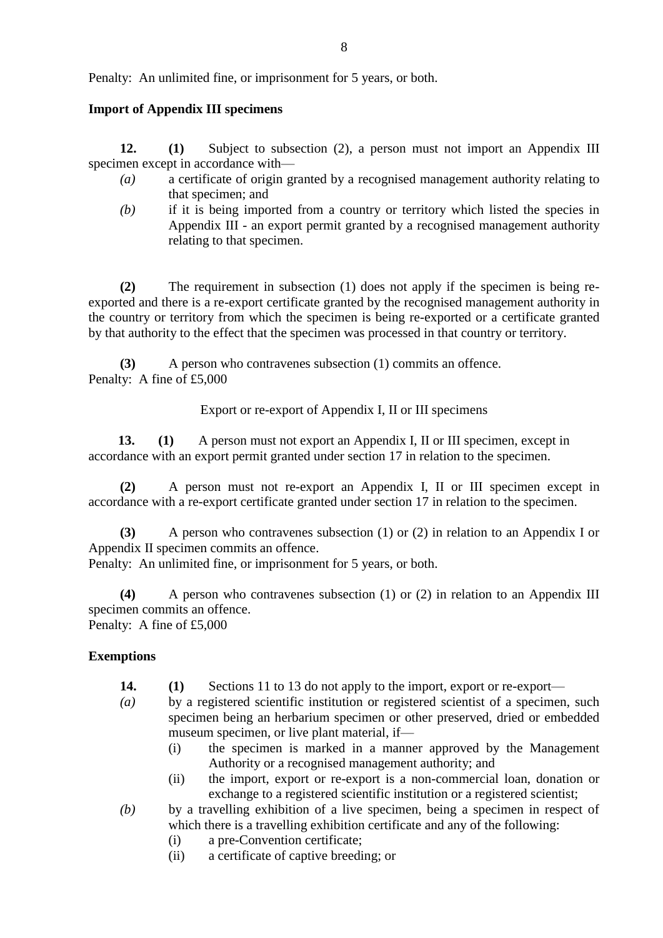Penalty: An unlimited fine, or imprisonment for 5 years, or both.

## **Import of Appendix III specimens**

**12. (1)** Subject to subsection (2), a person must not import an Appendix III specimen except in accordance with—

- *(a)* a certificate of origin granted by a recognised management authority relating to that specimen; and
- *(b)* if it is being imported from a country or territory which listed the species in Appendix III - an export permit granted by a recognised management authority relating to that specimen.

**(2)** The requirement in subsection (1) does not apply if the specimen is being reexported and there is a re-export certificate granted by the recognised management authority in the country or territory from which the specimen is being re-exported or a certificate granted by that authority to the effect that the specimen was processed in that country or territory.

**(3)** A person who contravenes subsection (1) commits an offence. Penalty: A fine of £5,000

Export or re-export of Appendix I, II or III specimens

**13. (1)** A person must not export an Appendix I, II or III specimen, except in accordance with an export permit granted under section 17 in relation to the specimen.

**(2)** A person must not re-export an Appendix I, II or III specimen except in accordance with a re-export certificate granted under section 17 in relation to the specimen.

**(3)** A person who contravenes subsection (1) or (2) in relation to an Appendix I or Appendix II specimen commits an offence.

Penalty: An unlimited fine, or imprisonment for 5 years, or both.

**(4)** A person who contravenes subsection (1) or (2) in relation to an Appendix III specimen commits an offence. Penalty: A fine of £5,000

## **Exemptions**

- **14. (1)** Sections 11 to 13 do not apply to the import, export or re-export—
- *(a)* by a registered scientific institution or registered scientist of a specimen, such specimen being an herbarium specimen or other preserved, dried or embedded museum specimen, or live plant material, if—
	- (i) the specimen is marked in a manner approved by the Management Authority or a recognised management authority; and
	- (ii) the import, export or re-export is a non-commercial loan, donation or exchange to a registered scientific institution or a registered scientist;

*(b)* by a travelling exhibition of a live specimen, being a specimen in respect of which there is a travelling exhibition certificate and any of the following:

- (i) a pre-Convention certificate;
- (ii) a certificate of captive breeding; or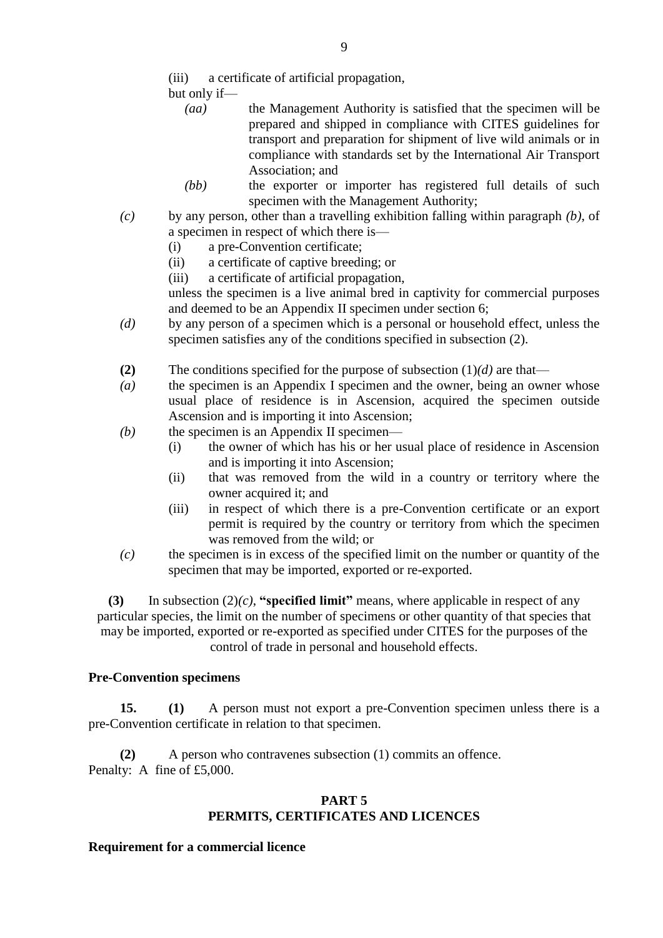- (iii) a certificate of artificial propagation,
- but only if—
	- *(aa)* the Management Authority is satisfied that the specimen will be prepared and shipped in compliance with CITES guidelines for transport and preparation for shipment of live wild animals or in compliance with standards set by the International Air Transport Association; and
	- *(bb)* the exporter or importer has registered full details of such specimen with the Management Authority;
- *(c)* by any person, other than a travelling exhibition falling within paragraph *(b)*, of a specimen in respect of which there is—
	- (i) a pre-Convention certificate;
	- (ii) a certificate of captive breeding; or
	- (iii) a certificate of artificial propagation,

unless the specimen is a live animal bred in captivity for commercial purposes and deemed to be an Appendix II specimen under section 6;

- *(d)* by any person of a specimen which is a personal or household effect, unless the specimen satisfies any of the conditions specified in subsection (2).
- **(2)** The conditions specified for the purpose of subsection  $(1)(d)$  are that—
- *(a)* the specimen is an Appendix I specimen and the owner, being an owner whose usual place of residence is in Ascension, acquired the specimen outside Ascension and is importing it into Ascension;
- *(b)* the specimen is an Appendix II specimen—
	- (i) the owner of which has his or her usual place of residence in Ascension and is importing it into Ascension;
	- (ii) that was removed from the wild in a country or territory where the owner acquired it; and
	- (iii) in respect of which there is a pre-Convention certificate or an export permit is required by the country or territory from which the specimen was removed from the wild; or
- *(c)* the specimen is in excess of the specified limit on the number or quantity of the specimen that may be imported, exported or re-exported.

**(3)** In subsection (2)*(c)*, **"specified limit"** means, where applicable in respect of any particular species, the limit on the number of specimens or other quantity of that species that may be imported, exported or re-exported as specified under CITES for the purposes of the control of trade in personal and household effects.

## **Pre-Convention specimens**

**15. (1)** A person must not export a pre-Convention specimen unless there is a pre-Convention certificate in relation to that specimen.

**(2)** A person who contravenes subsection (1) commits an offence. Penalty: A fine of £5,000.

## **PART 5 PERMITS, CERTIFICATES AND LICENCES**

### **Requirement for a commercial licence**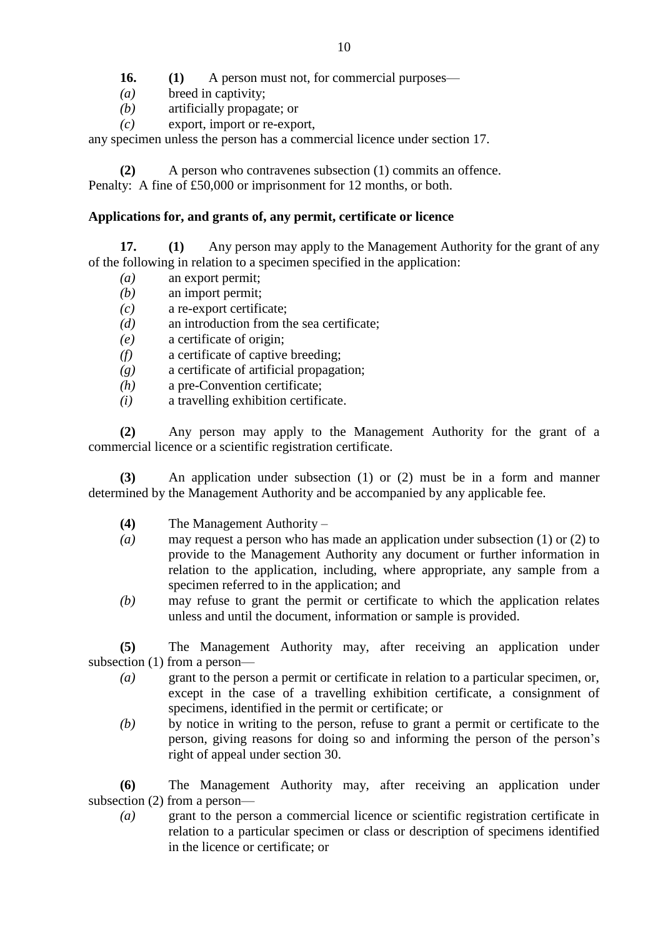**16. (1)** A person must not, for commercial purposes—

- *(a)* breed in captivity;
- *(b)* artificially propagate; or
- *(c)* export, import or re-export,

any specimen unless the person has a commercial licence under section 17.

**(2)** A person who contravenes subsection (1) commits an offence. Penalty: A fine of £50,000 or imprisonment for 12 months, or both.

# **Applications for, and grants of, any permit, certificate or licence**

**17. (1)** Any person may apply to the Management Authority for the grant of any of the following in relation to a specimen specified in the application:

- *(a)* an export permit;
- *(b)* an import permit;
- *(c)* a re-export certificate;
- *(d)* an introduction from the sea certificate;
- *(e)* a certificate of origin;
- *(f)* a certificate of captive breeding;
- *(g)* a certificate of artificial propagation;
- *(h)* a pre-Convention certificate;
- *(i)* a travelling exhibition certificate.

**(2)** Any person may apply to the Management Authority for the grant of a commercial licence or a scientific registration certificate.

**(3)** An application under subsection (1) or (2) must be in a form and manner determined by the Management Authority and be accompanied by any applicable fee.

- **(4)** The Management Authority –
- *(a)* may request a person who has made an application under subsection (1) or (2) to provide to the Management Authority any document or further information in relation to the application, including, where appropriate, any sample from a specimen referred to in the application; and
- *(b)* may refuse to grant the permit or certificate to which the application relates unless and until the document, information or sample is provided.

**(5)** The Management Authority may, after receiving an application under subsection (1) from a person—

- *(a)* grant to the person a permit or certificate in relation to a particular specimen, or, except in the case of a travelling exhibition certificate, a consignment of specimens, identified in the permit or certificate; or
- *(b)* by notice in writing to the person, refuse to grant a permit or certificate to the person, giving reasons for doing so and informing the person of the person's right of appeal under section 30.

**(6)** The Management Authority may, after receiving an application under subsection (2) from a person—

*(a)* grant to the person a commercial licence or scientific registration certificate in relation to a particular specimen or class or description of specimens identified in the licence or certificate; or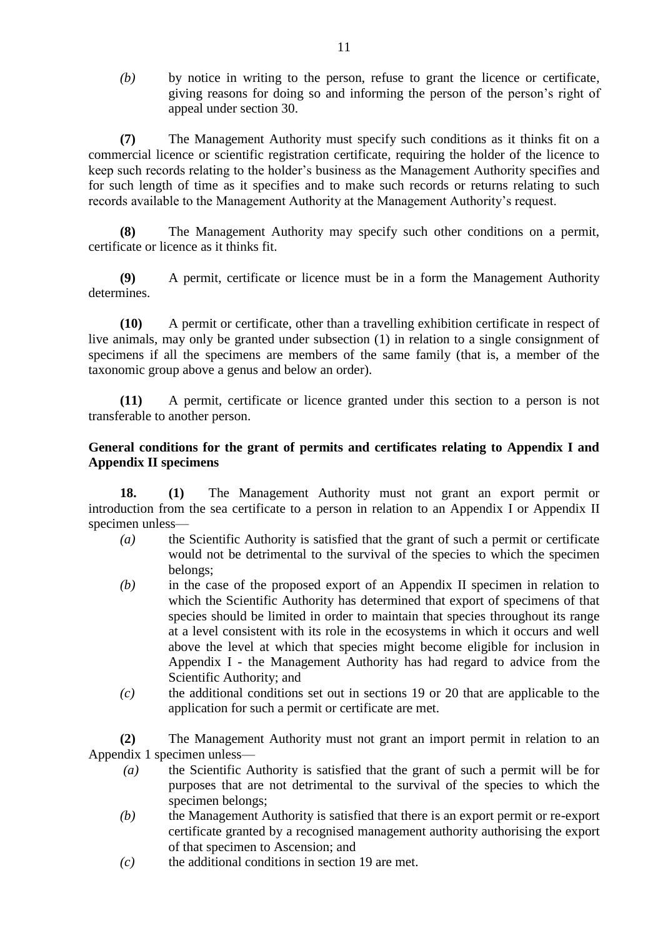*(b)* by notice in writing to the person, refuse to grant the licence or certificate, giving reasons for doing so and informing the person of the person's right of appeal under section 30.

**(7)** The Management Authority must specify such conditions as it thinks fit on a commercial licence or scientific registration certificate, requiring the holder of the licence to keep such records relating to the holder's business as the Management Authority specifies and for such length of time as it specifies and to make such records or returns relating to such records available to the Management Authority at the Management Authority's request.

**(8)** The Management Authority may specify such other conditions on a permit, certificate or licence as it thinks fit.

**(9)** A permit, certificate or licence must be in a form the Management Authority determines.

**(10)** A permit or certificate, other than a travelling exhibition certificate in respect of live animals, may only be granted under subsection (1) in relation to a single consignment of specimens if all the specimens are members of the same family (that is, a member of the taxonomic group above a genus and below an order).

**(11)** A permit, certificate or licence granted under this section to a person is not transferable to another person.

## **General conditions for the grant of permits and certificates relating to Appendix I and Appendix II specimens**

**18. (1)** The Management Authority must not grant an export permit or introduction from the sea certificate to a person in relation to an Appendix I or Appendix II specimen unless—

- *(a)* the Scientific Authority is satisfied that the grant of such a permit or certificate would not be detrimental to the survival of the species to which the specimen belongs;
- *(b)* in the case of the proposed export of an Appendix II specimen in relation to which the Scientific Authority has determined that export of specimens of that species should be limited in order to maintain that species throughout its range at a level consistent with its role in the ecosystems in which it occurs and well above the level at which that species might become eligible for inclusion in Appendix I - the Management Authority has had regard to advice from the Scientific Authority; and
- *(c)* the additional conditions set out in sections 19 or 20 that are applicable to the application for such a permit or certificate are met.

**(2)** The Management Authority must not grant an import permit in relation to an Appendix 1 specimen unless—

- *(a)* the Scientific Authority is satisfied that the grant of such a permit will be for purposes that are not detrimental to the survival of the species to which the specimen belongs;
- *(b)* the Management Authority is satisfied that there is an export permit or re-export certificate granted by a recognised management authority authorising the export of that specimen to Ascension; and
- *(c)* the additional conditions in section 19 are met.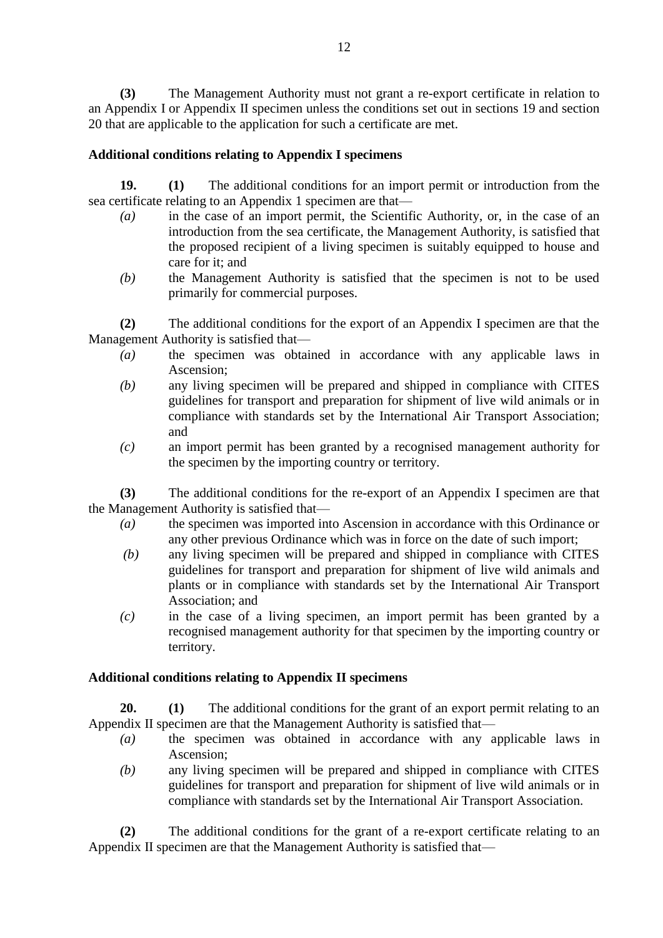**(3)** The Management Authority must not grant a re-export certificate in relation to an Appendix I or Appendix II specimen unless the conditions set out in sections 19 and section 20 that are applicable to the application for such a certificate are met.

## **Additional conditions relating to Appendix I specimens**

**19. (1)** The additional conditions for an import permit or introduction from the sea certificate relating to an Appendix 1 specimen are that—

- *(a)* in the case of an import permit, the Scientific Authority, or, in the case of an introduction from the sea certificate, the Management Authority, is satisfied that the proposed recipient of a living specimen is suitably equipped to house and care for it; and
- *(b)* the Management Authority is satisfied that the specimen is not to be used primarily for commercial purposes.

**(2)** The additional conditions for the export of an Appendix I specimen are that the Management Authority is satisfied that—

- *(a)* the specimen was obtained in accordance with any applicable laws in Ascension;
- *(b)* any living specimen will be prepared and shipped in compliance with CITES guidelines for transport and preparation for shipment of live wild animals or in compliance with standards set by the International Air Transport Association; and
- *(c)* an import permit has been granted by a recognised management authority for the specimen by the importing country or territory.

**(3)** The additional conditions for the re-export of an Appendix I specimen are that the Management Authority is satisfied that—

- *(a)* the specimen was imported into Ascension in accordance with this Ordinance or any other previous Ordinance which was in force on the date of such import;
- *(b)* any living specimen will be prepared and shipped in compliance with CITES guidelines for transport and preparation for shipment of live wild animals and plants or in compliance with standards set by the International Air Transport Association; and
- *(c)* in the case of a living specimen, an import permit has been granted by a recognised management authority for that specimen by the importing country or territory.

### **Additional conditions relating to Appendix II specimens**

**20. (1)** The additional conditions for the grant of an export permit relating to an Appendix II specimen are that the Management Authority is satisfied that—

- *(a)* the specimen was obtained in accordance with any applicable laws in Ascension;
- *(b)* any living specimen will be prepared and shipped in compliance with CITES guidelines for transport and preparation for shipment of live wild animals or in compliance with standards set by the International Air Transport Association.

**(2)** The additional conditions for the grant of a re-export certificate relating to an Appendix II specimen are that the Management Authority is satisfied that—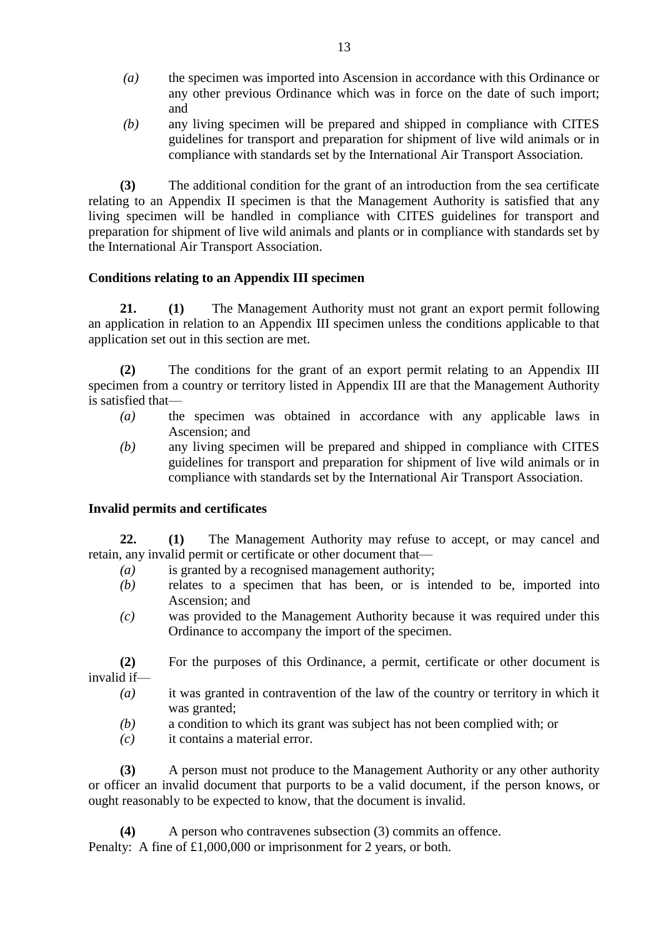- *(a)* the specimen was imported into Ascension in accordance with this Ordinance or any other previous Ordinance which was in force on the date of such import; and
- *(b)* any living specimen will be prepared and shipped in compliance with CITES guidelines for transport and preparation for shipment of live wild animals or in compliance with standards set by the International Air Transport Association.

**(3)** The additional condition for the grant of an introduction from the sea certificate relating to an Appendix II specimen is that the Management Authority is satisfied that any living specimen will be handled in compliance with CITES guidelines for transport and preparation for shipment of live wild animals and plants or in compliance with standards set by the International Air Transport Association.

## **Conditions relating to an Appendix III specimen**

**21. (1)** The Management Authority must not grant an export permit following an application in relation to an Appendix III specimen unless the conditions applicable to that application set out in this section are met.

**(2)** The conditions for the grant of an export permit relating to an Appendix III specimen from a country or territory listed in Appendix III are that the Management Authority is satisfied that—

- *(a)* the specimen was obtained in accordance with any applicable laws in Ascension; and
- *(b)* any living specimen will be prepared and shipped in compliance with CITES guidelines for transport and preparation for shipment of live wild animals or in compliance with standards set by the International Air Transport Association.

### **Invalid permits and certificates**

**22. (1)** The Management Authority may refuse to accept, or may cancel and retain, any invalid permit or certificate or other document that—

- *(a)* is granted by a recognised management authority;
- *(b)* relates to a specimen that has been, or is intended to be, imported into Ascension; and
- *(c)* was provided to the Management Authority because it was required under this Ordinance to accompany the import of the specimen.
- **(2)** For the purposes of this Ordinance, a permit, certificate or other document is invalid if—
	- *(a)* it was granted in contravention of the law of the country or territory in which it was granted;
	- *(b)* a condition to which its grant was subject has not been complied with; or
	- *(c)* it contains a material error.

**(3)** A person must not produce to the Management Authority or any other authority or officer an invalid document that purports to be a valid document, if the person knows, or ought reasonably to be expected to know, that the document is invalid.

**(4)** A person who contravenes subsection (3) commits an offence. Penalty: A fine of £1,000,000 or imprisonment for 2 years, or both.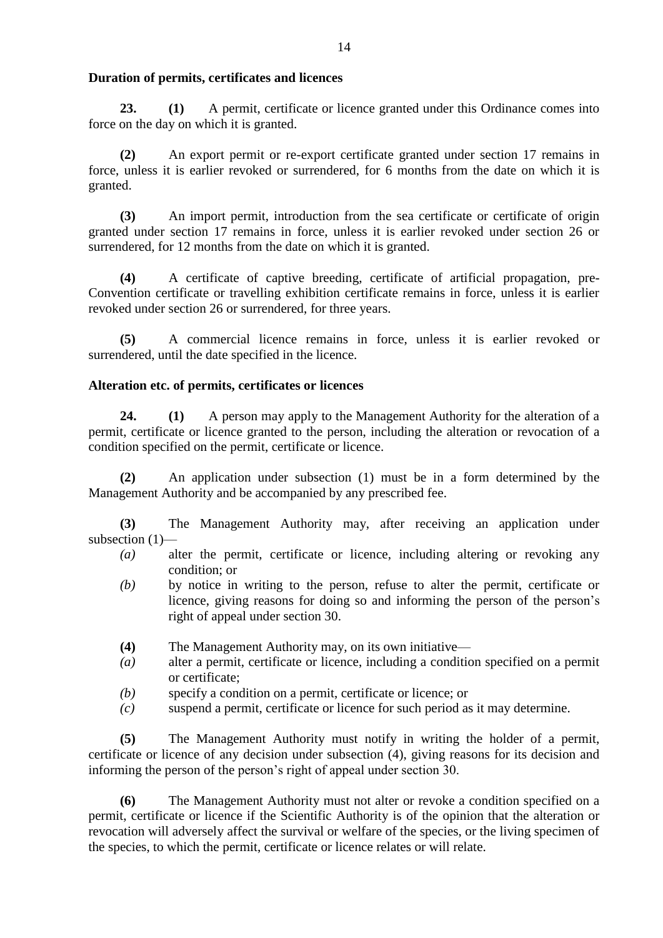### **Duration of permits, certificates and licences**

**23. (1)** A permit, certificate or licence granted under this Ordinance comes into force on the day on which it is granted.

**(2)** An export permit or re-export certificate granted under section 17 remains in force, unless it is earlier revoked or surrendered, for 6 months from the date on which it is granted.

**(3)** An import permit, introduction from the sea certificate or certificate of origin granted under section 17 remains in force, unless it is earlier revoked under section 26 or surrendered, for 12 months from the date on which it is granted.

**(4)** A certificate of captive breeding, certificate of artificial propagation, pre-Convention certificate or travelling exhibition certificate remains in force, unless it is earlier revoked under section 26 or surrendered, for three years.

**(5)** A commercial licence remains in force, unless it is earlier revoked or surrendered, until the date specified in the licence.

# **Alteration etc. of permits, certificates or licences**

**24. (1)** A person may apply to the Management Authority for the alteration of a permit, certificate or licence granted to the person, including the alteration or revocation of a condition specified on the permit, certificate or licence.

**(2)** An application under subsection (1) must be in a form determined by the Management Authority and be accompanied by any prescribed fee.

**(3)** The Management Authority may, after receiving an application under subsection (1)—

- *(a)* alter the permit, certificate or licence, including altering or revoking any condition; or
- *(b)* by notice in writing to the person, refuse to alter the permit, certificate or licence, giving reasons for doing so and informing the person of the person's right of appeal under section 30.
- **(4)** The Management Authority may, on its own initiative—
- *(a)* alter a permit, certificate or licence, including a condition specified on a permit or certificate;
- *(b)* specify a condition on a permit, certificate or licence; or
- *(c)* suspend a permit, certificate or licence for such period as it may determine.

**(5)** The Management Authority must notify in writing the holder of a permit, certificate or licence of any decision under subsection (4), giving reasons for its decision and informing the person of the person's right of appeal under section 30.

**(6)** The Management Authority must not alter or revoke a condition specified on a permit, certificate or licence if the Scientific Authority is of the opinion that the alteration or revocation will adversely affect the survival or welfare of the species, or the living specimen of the species, to which the permit, certificate or licence relates or will relate.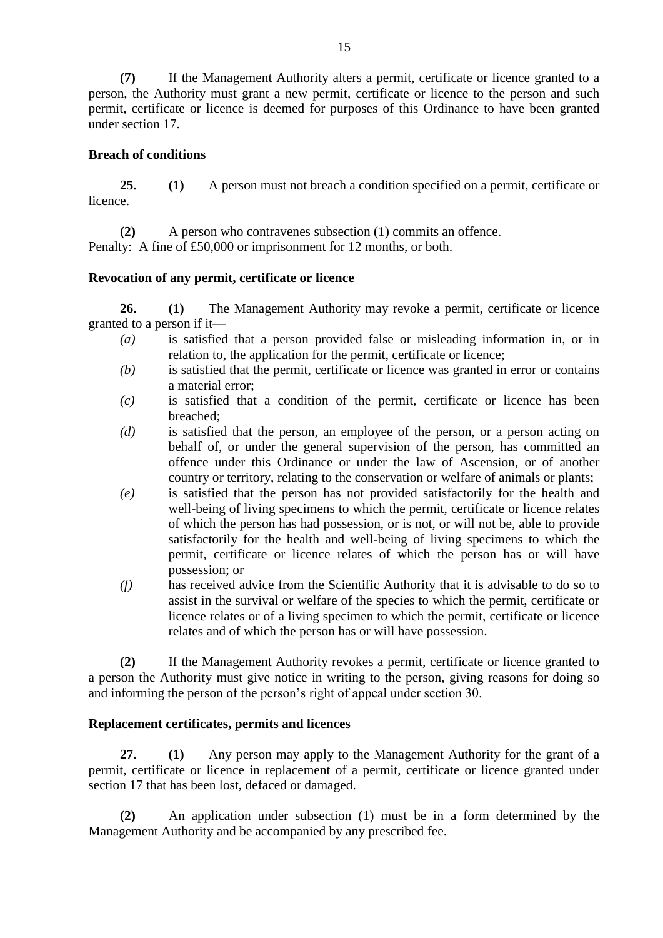**(7)** If the Management Authority alters a permit, certificate or licence granted to a person, the Authority must grant a new permit, certificate or licence to the person and such permit, certificate or licence is deemed for purposes of this Ordinance to have been granted under section 17.

### **Breach of conditions**

**25. (1)** A person must not breach a condition specified on a permit, certificate or licence.

**(2)** A person who contravenes subsection (1) commits an offence. Penalty: A fine of £50,000 or imprisonment for 12 months, or both.

### **Revocation of any permit, certificate or licence**

**26. (1)** The Management Authority may revoke a permit, certificate or licence granted to a person if it—

- *(a)* is satisfied that a person provided false or misleading information in, or in relation to, the application for the permit, certificate or licence;
- *(b)* is satisfied that the permit, certificate or licence was granted in error or contains a material error;
- *(c)* is satisfied that a condition of the permit, certificate or licence has been breached;
- *(d)* is satisfied that the person, an employee of the person, or a person acting on behalf of, or under the general supervision of the person, has committed an offence under this Ordinance or under the law of Ascension, or of another country or territory, relating to the conservation or welfare of animals or plants;
- *(e)* is satisfied that the person has not provided satisfactorily for the health and well-being of living specimens to which the permit, certificate or licence relates of which the person has had possession, or is not, or will not be, able to provide satisfactorily for the health and well-being of living specimens to which the permit, certificate or licence relates of which the person has or will have possession; or
- *(f)* has received advice from the Scientific Authority that it is advisable to do so to assist in the survival or welfare of the species to which the permit, certificate or licence relates or of a living specimen to which the permit, certificate or licence relates and of which the person has or will have possession.

**(2)** If the Management Authority revokes a permit, certificate or licence granted to a person the Authority must give notice in writing to the person, giving reasons for doing so and informing the person of the person's right of appeal under section 30.

# **Replacement certificates, permits and licences**

**27. (1)** Any person may apply to the Management Authority for the grant of a permit, certificate or licence in replacement of a permit, certificate or licence granted under section 17 that has been lost, defaced or damaged.

**(2)** An application under subsection (1) must be in a form determined by the Management Authority and be accompanied by any prescribed fee.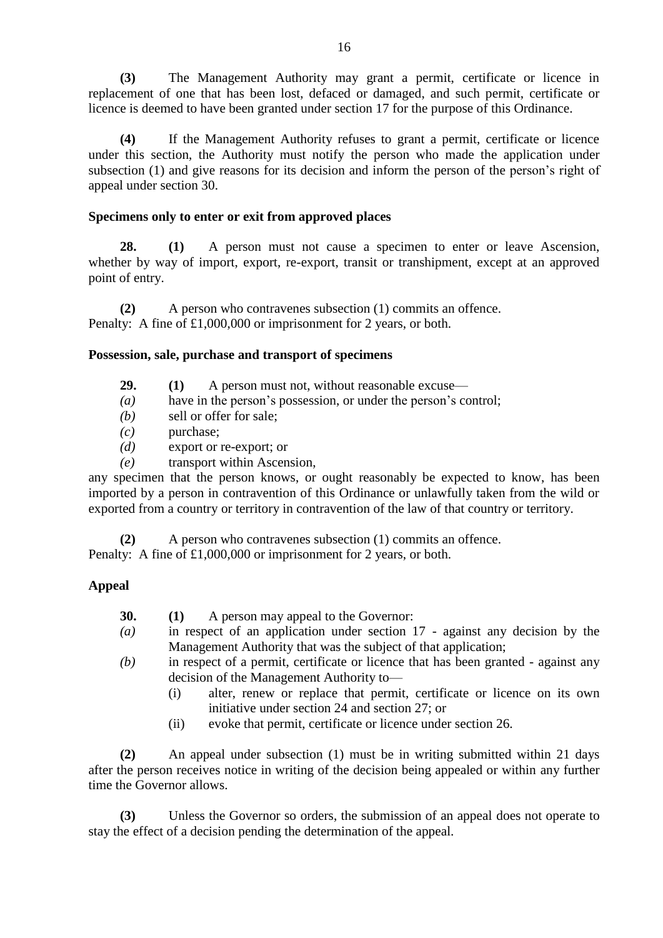**(3)** The Management Authority may grant a permit, certificate or licence in replacement of one that has been lost, defaced or damaged, and such permit, certificate or licence is deemed to have been granted under section 17 for the purpose of this Ordinance.

**(4)** If the Management Authority refuses to grant a permit, certificate or licence under this section, the Authority must notify the person who made the application under subsection (1) and give reasons for its decision and inform the person of the person's right of appeal under section 30.

### **Specimens only to enter or exit from approved places**

**28. (1)** A person must not cause a specimen to enter or leave Ascension, whether by way of import, export, re-export, transit or transhipment, except at an approved point of entry.

**(2)** A person who contravenes subsection (1) commits an offence. Penalty: A fine of £1,000,000 or imprisonment for 2 years, or both.

### **Possession, sale, purchase and transport of specimens**

- **29. (1)** A person must not, without reasonable excuse—
- *(a)* have in the person's possession, or under the person's control;
- *(b)* sell or offer for sale;
- *(c)* purchase;
- *(d)* export or re-export; or
- *(e)* transport within Ascension,

any specimen that the person knows, or ought reasonably be expected to know, has been imported by a person in contravention of this Ordinance or unlawfully taken from the wild or exported from a country or territory in contravention of the law of that country or territory.

**(2)** A person who contravenes subsection (1) commits an offence.

Penalty: A fine of £1,000,000 or imprisonment for 2 years, or both.

## **Appeal**

- **30. (1)** A person may appeal to the Governor:
- *(a)* in respect of an application under section 17 against any decision by the Management Authority that was the subject of that application;
- *(b)* in respect of a permit, certificate or licence that has been granted against any decision of the Management Authority to—
	- (i) alter, renew or replace that permit, certificate or licence on its own initiative under section 24 and section 27; or
	- (ii) evoke that permit, certificate or licence under section 26.

**(2)** An appeal under subsection (1) must be in writing submitted within 21 days after the person receives notice in writing of the decision being appealed or within any further time the Governor allows.

**(3)** Unless the Governor so orders, the submission of an appeal does not operate to stay the effect of a decision pending the determination of the appeal.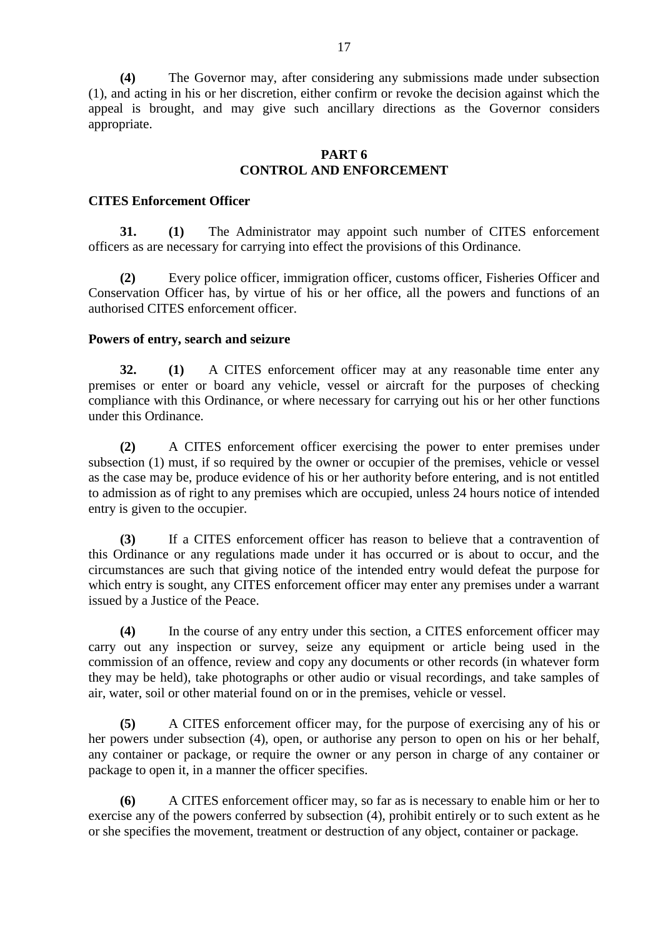**(4)** The Governor may, after considering any submissions made under subsection (1), and acting in his or her discretion, either confirm or revoke the decision against which the appeal is brought, and may give such ancillary directions as the Governor considers appropriate.

### **PART 6 CONTROL AND ENFORCEMENT**

#### **CITES Enforcement Officer**

**31. (1)** The Administrator may appoint such number of CITES enforcement officers as are necessary for carrying into effect the provisions of this Ordinance.

**(2)** Every police officer, immigration officer, customs officer, Fisheries Officer and Conservation Officer has, by virtue of his or her office, all the powers and functions of an authorised CITES enforcement officer.

#### **Powers of entry, search and seizure**

**32. (1)** A CITES enforcement officer may at any reasonable time enter any premises or enter or board any vehicle, vessel or aircraft for the purposes of checking compliance with this Ordinance, or where necessary for carrying out his or her other functions under this Ordinance.

**(2)** A CITES enforcement officer exercising the power to enter premises under subsection (1) must, if so required by the owner or occupier of the premises, vehicle or vessel as the case may be, produce evidence of his or her authority before entering, and is not entitled to admission as of right to any premises which are occupied, unless 24 hours notice of intended entry is given to the occupier.

**(3)** If a CITES enforcement officer has reason to believe that a contravention of this Ordinance or any regulations made under it has occurred or is about to occur, and the circumstances are such that giving notice of the intended entry would defeat the purpose for which entry is sought, any CITES enforcement officer may enter any premises under a warrant issued by a Justice of the Peace.

**(4)** In the course of any entry under this section, a CITES enforcement officer may carry out any inspection or survey, seize any equipment or article being used in the commission of an offence, review and copy any documents or other records (in whatever form they may be held), take photographs or other audio or visual recordings, and take samples of air, water, soil or other material found on or in the premises, vehicle or vessel.

**(5)** A CITES enforcement officer may, for the purpose of exercising any of his or her powers under subsection (4), open, or authorise any person to open on his or her behalf, any container or package, or require the owner or any person in charge of any container or package to open it, in a manner the officer specifies.

**(6)** A CITES enforcement officer may, so far as is necessary to enable him or her to exercise any of the powers conferred by subsection (4), prohibit entirely or to such extent as he or she specifies the movement, treatment or destruction of any object, container or package.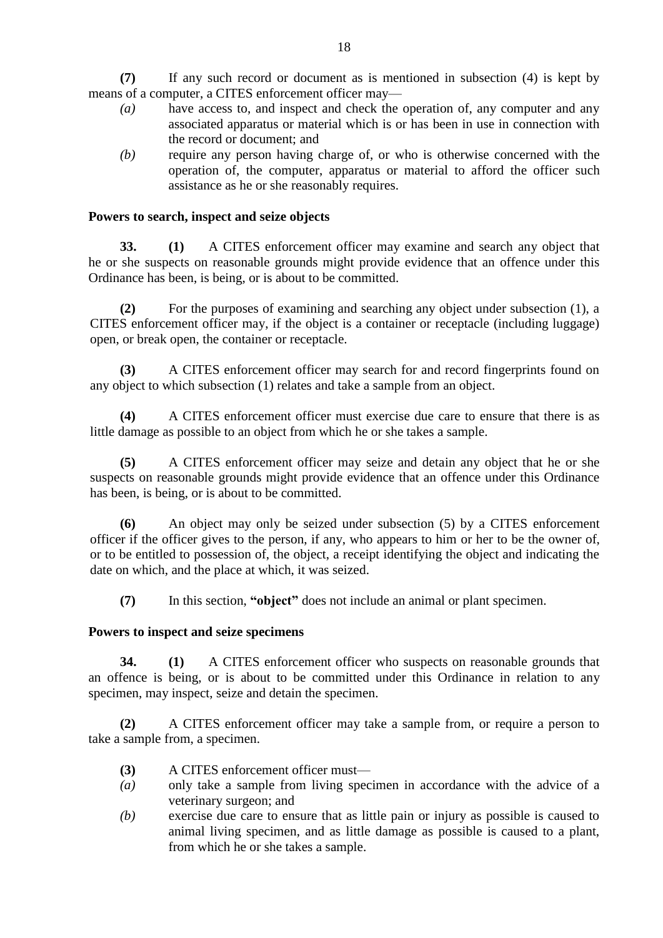**(7)** If any such record or document as is mentioned in subsection (4) is kept by means of a computer, a CITES enforcement officer may—

- *(a)* have access to, and inspect and check the operation of, any computer and any associated apparatus or material which is or has been in use in connection with the record or document; and
- *(b)* require any person having charge of, or who is otherwise concerned with the operation of, the computer, apparatus or material to afford the officer such assistance as he or she reasonably requires.

### **Powers to search, inspect and seize objects**

**33. (1)** A CITES enforcement officer may examine and search any object that he or she suspects on reasonable grounds might provide evidence that an offence under this Ordinance has been, is being, or is about to be committed.

**(2)** For the purposes of examining and searching any object under subsection (1), a CITES enforcement officer may, if the object is a container or receptacle (including luggage) open, or break open, the container or receptacle.

**(3)** A CITES enforcement officer may search for and record fingerprints found on any object to which subsection (1) relates and take a sample from an object.

**(4)** A CITES enforcement officer must exercise due care to ensure that there is as little damage as possible to an object from which he or she takes a sample.

**(5)** A CITES enforcement officer may seize and detain any object that he or she suspects on reasonable grounds might provide evidence that an offence under this Ordinance has been, is being, or is about to be committed.

**(6)** An object may only be seized under subsection (5) by a CITES enforcement officer if the officer gives to the person, if any, who appears to him or her to be the owner of, or to be entitled to possession of, the object, a receipt identifying the object and indicating the date on which, and the place at which, it was seized.

**(7)** In this section, **"object"** does not include an animal or plant specimen.

### **Powers to inspect and seize specimens**

**34. (1)** A CITES enforcement officer who suspects on reasonable grounds that an offence is being, or is about to be committed under this Ordinance in relation to any specimen, may inspect, seize and detain the specimen.

**(2)** A CITES enforcement officer may take a sample from, or require a person to take a sample from, a specimen.

- **(3)** A CITES enforcement officer must—
- *(a)* only take a sample from living specimen in accordance with the advice of a veterinary surgeon; and
- *(b)* exercise due care to ensure that as little pain or injury as possible is caused to animal living specimen, and as little damage as possible is caused to a plant, from which he or she takes a sample.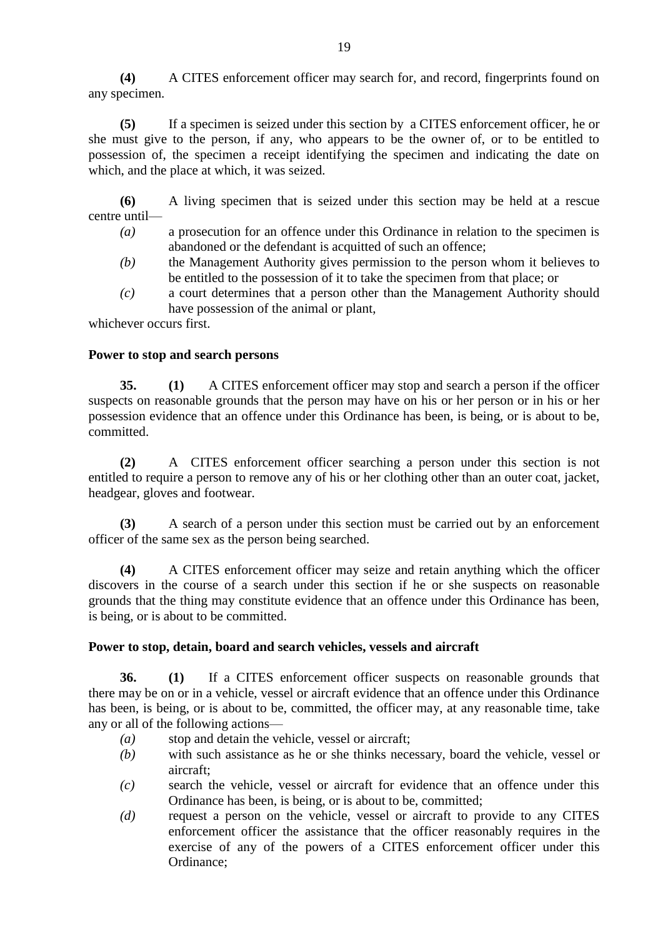**(4)** A CITES enforcement officer may search for, and record, fingerprints found on any specimen.

**(5)** If a specimen is seized under this section by a CITES enforcement officer, he or she must give to the person, if any, who appears to be the owner of, or to be entitled to possession of, the specimen a receipt identifying the specimen and indicating the date on which, and the place at which, it was seized.

**(6)** A living specimen that is seized under this section may be held at a rescue centre until—

- *(a)* a prosecution for an offence under this Ordinance in relation to the specimen is abandoned or the defendant is acquitted of such an offence;
- *(b)* the Management Authority gives permission to the person whom it believes to be entitled to the possession of it to take the specimen from that place; or
- *(c)* a court determines that a person other than the Management Authority should have possession of the animal or plant,

whichever occurs first.

#### **Power to stop and search persons**

**35. (1)** A CITES enforcement officer may stop and search a person if the officer suspects on reasonable grounds that the person may have on his or her person or in his or her possession evidence that an offence under this Ordinance has been, is being, or is about to be, committed.

**(2)** A CITES enforcement officer searching a person under this section is not entitled to require a person to remove any of his or her clothing other than an outer coat, jacket, headgear, gloves and footwear.

**(3)** A search of a person under this section must be carried out by an enforcement officer of the same sex as the person being searched.

**(4)** A CITES enforcement officer may seize and retain anything which the officer discovers in the course of a search under this section if he or she suspects on reasonable grounds that the thing may constitute evidence that an offence under this Ordinance has been, is being, or is about to be committed.

#### **Power to stop, detain, board and search vehicles, vessels and aircraft**

**36. (1)** If a CITES enforcement officer suspects on reasonable grounds that there may be on or in a vehicle, vessel or aircraft evidence that an offence under this Ordinance has been, is being, or is about to be, committed, the officer may, at any reasonable time, take any or all of the following actions—

- *(a)* stop and detain the vehicle, vessel or aircraft;
- *(b)* with such assistance as he or she thinks necessary, board the vehicle, vessel or aircraft;
- *(c)* search the vehicle, vessel or aircraft for evidence that an offence under this Ordinance has been, is being, or is about to be, committed;
- *(d)* request a person on the vehicle, vessel or aircraft to provide to any CITES enforcement officer the assistance that the officer reasonably requires in the exercise of any of the powers of a CITES enforcement officer under this Ordinance;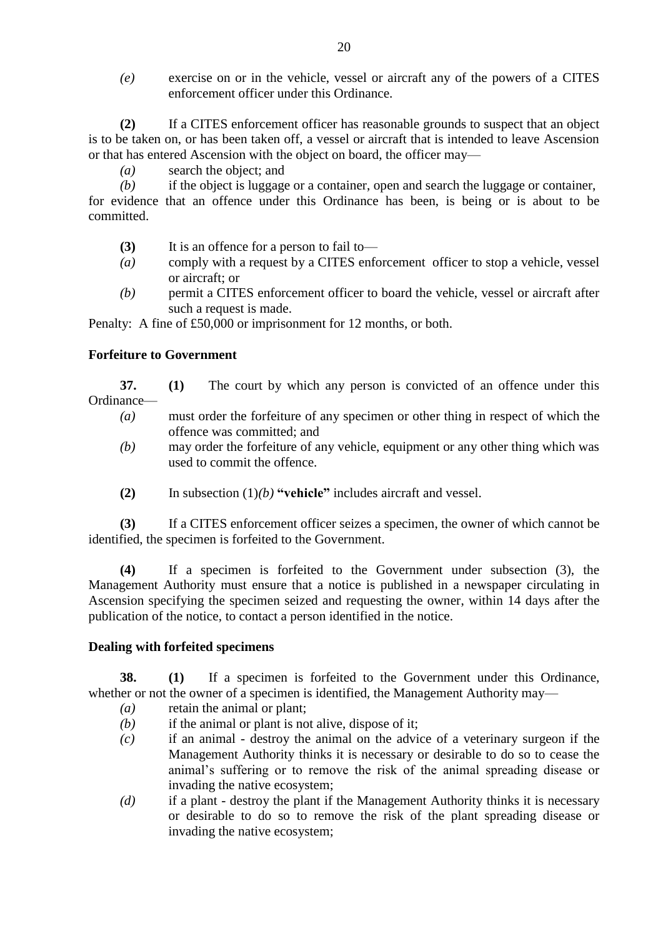*(e)* exercise on or in the vehicle, vessel or aircraft any of the powers of a CITES enforcement officer under this Ordinance.

**(2)** If a CITES enforcement officer has reasonable grounds to suspect that an object is to be taken on, or has been taken off, a vessel or aircraft that is intended to leave Ascension or that has entered Ascension with the object on board, the officer may—

*(a)* search the object; and

*(b)* if the object is luggage or a container, open and search the luggage or container,

for evidence that an offence under this Ordinance has been, is being or is about to be committed.

- **(3)** It is an offence for a person to fail to—
- *(a)* comply with a request by a CITES enforcement officer to stop a vehicle, vessel or aircraft; or
- *(b)* permit a CITES enforcement officer to board the vehicle, vessel or aircraft after such a request is made.

Penalty: A fine of £50,000 or imprisonment for 12 months, or both.

## **Forfeiture to Government**

- **37. (1)** The court by which any person is convicted of an offence under this Ordinance—
	- *(a)* must order the forfeiture of any specimen or other thing in respect of which the offence was committed; and
	- *(b)* may order the forfeiture of any vehicle, equipment or any other thing which was used to commit the offence.
	- **(2)** In subsection (1)*(b)* **"vehicle"** includes aircraft and vessel.

**(3)** If a CITES enforcement officer seizes a specimen, the owner of which cannot be identified, the specimen is forfeited to the Government.

**(4)** If a specimen is forfeited to the Government under subsection (3), the Management Authority must ensure that a notice is published in a newspaper circulating in Ascension specifying the specimen seized and requesting the owner, within 14 days after the publication of the notice, to contact a person identified in the notice.

### **Dealing with forfeited specimens**

**38. (1)** If a specimen is forfeited to the Government under this Ordinance, whether or not the owner of a specimen is identified, the Management Authority may—

- *(a)* retain the animal or plant;
- *(b)* if the animal or plant is not alive, dispose of it;
- *(c)* if an animal destroy the animal on the advice of a veterinary surgeon if the Management Authority thinks it is necessary or desirable to do so to cease the animal's suffering or to remove the risk of the animal spreading disease or invading the native ecosystem;
- *(d)* if a plant destroy the plant if the Management Authority thinks it is necessary or desirable to do so to remove the risk of the plant spreading disease or invading the native ecosystem;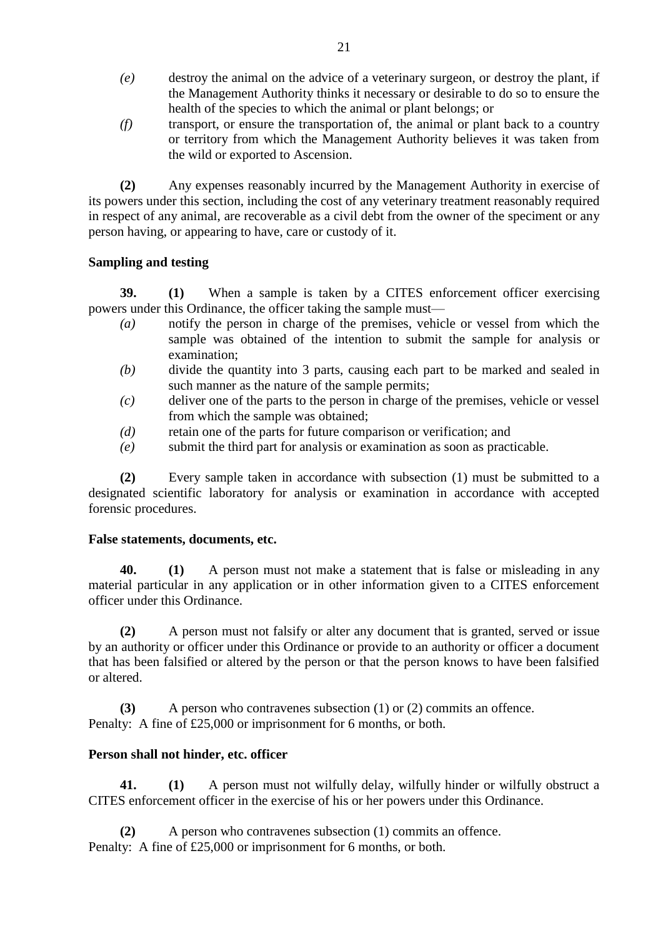- *(e)* destroy the animal on the advice of a veterinary surgeon, or destroy the plant, if the Management Authority thinks it necessary or desirable to do so to ensure the health of the species to which the animal or plant belongs; or
- *(f)* transport, or ensure the transportation of, the animal or plant back to a country or territory from which the Management Authority believes it was taken from the wild or exported to Ascension.

**(2)** Any expenses reasonably incurred by the Management Authority in exercise of its powers under this section, including the cost of any veterinary treatment reasonably required in respect of any animal, are recoverable as a civil debt from the owner of the speciment or any person having, or appearing to have, care or custody of it.

### **Sampling and testing**

**39. (1)** When a sample is taken by a CITES enforcement officer exercising powers under this Ordinance, the officer taking the sample must—

- *(a)* notify the person in charge of the premises, vehicle or vessel from which the sample was obtained of the intention to submit the sample for analysis or examination;
- *(b)* divide the quantity into 3 parts, causing each part to be marked and sealed in such manner as the nature of the sample permits;
- *(c)* deliver one of the parts to the person in charge of the premises, vehicle or vessel from which the sample was obtained;
- *(d)* retain one of the parts for future comparison or verification; and
- *(e)* submit the third part for analysis or examination as soon as practicable.

**(2)** Every sample taken in accordance with subsection (1) must be submitted to a designated scientific laboratory for analysis or examination in accordance with accepted forensic procedures.

### **False statements, documents, etc.**

**40. (1)** A person must not make a statement that is false or misleading in any material particular in any application or in other information given to a CITES enforcement officer under this Ordinance.

**(2)** A person must not falsify or alter any document that is granted, served or issue by an authority or officer under this Ordinance or provide to an authority or officer a document that has been falsified or altered by the person or that the person knows to have been falsified or altered.

**(3)** A person who contravenes subsection (1) or (2) commits an offence. Penalty: A fine of £25,000 or imprisonment for 6 months, or both.

### **Person shall not hinder, etc. officer**

**41. (1)** A person must not wilfully delay, wilfully hinder or wilfully obstruct a CITES enforcement officer in the exercise of his or her powers under this Ordinance.

**(2)** A person who contravenes subsection (1) commits an offence. Penalty: A fine of £25,000 or imprisonment for 6 months, or both.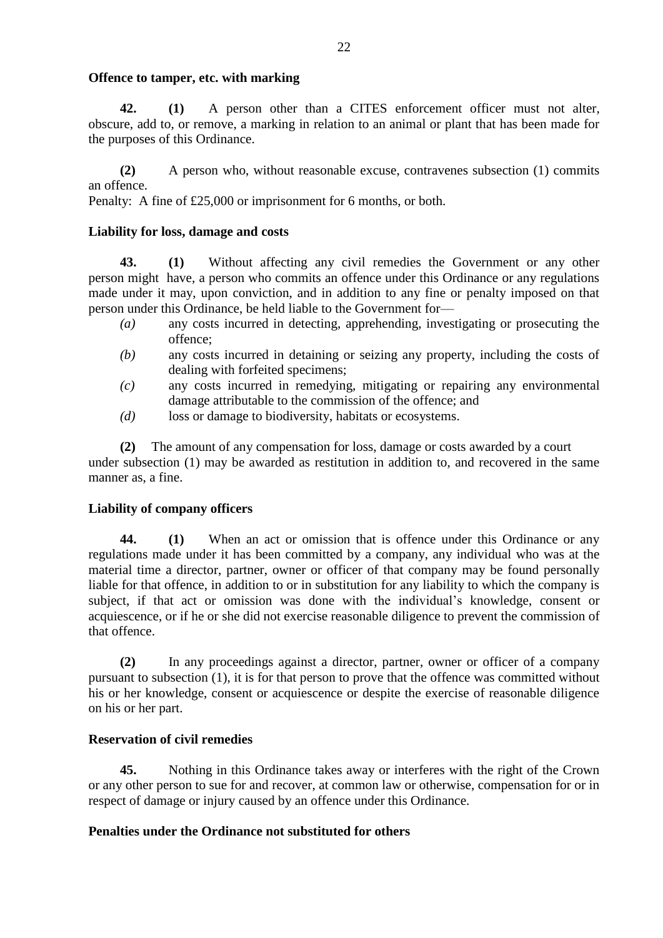#### **Offence to tamper, etc. with marking**

**42. (1)** A person other than a CITES enforcement officer must not alter, obscure, add to, or remove, a marking in relation to an animal or plant that has been made for the purposes of this Ordinance.

**(2)** A person who, without reasonable excuse, contravenes subsection (1) commits an offence.

Penalty: A fine of £25,000 or imprisonment for 6 months, or both.

#### **Liability for loss, damage and costs**

**43. (1)** Without affecting any civil remedies the Government or any other person might have, a person who commits an offence under this Ordinance or any regulations made under it may, upon conviction, and in addition to any fine or penalty imposed on that person under this Ordinance, be held liable to the Government for—

- *(a)* any costs incurred in detecting, apprehending, investigating or prosecuting the offence;
- *(b)* any costs incurred in detaining or seizing any property, including the costs of dealing with forfeited specimens;
- *(c)* any costs incurred in remedying, mitigating or repairing any environmental damage attributable to the commission of the offence; and
- *(d)* loss or damage to biodiversity, habitats or ecosystems.

**(2)** The amount of any compensation for loss, damage or costs awarded by a court under subsection (1) may be awarded as restitution in addition to, and recovered in the same manner as, a fine.

### **Liability of company officers**

**44. (1)** When an act or omission that is offence under this Ordinance or any regulations made under it has been committed by a company, any individual who was at the material time a director, partner, owner or officer of that company may be found personally liable for that offence, in addition to or in substitution for any liability to which the company is subject, if that act or omission was done with the individual's knowledge, consent or acquiescence, or if he or she did not exercise reasonable diligence to prevent the commission of that offence.

**(2)** In any proceedings against a director, partner, owner or officer of a company pursuant to subsection (1), it is for that person to prove that the offence was committed without his or her knowledge, consent or acquiescence or despite the exercise of reasonable diligence on his or her part.

### **Reservation of civil remedies**

**45.** Nothing in this Ordinance takes away or interferes with the right of the Crown or any other person to sue for and recover, at common law or otherwise, compensation for or in respect of damage or injury caused by an offence under this Ordinance.

### **Penalties under the Ordinance not substituted for others**